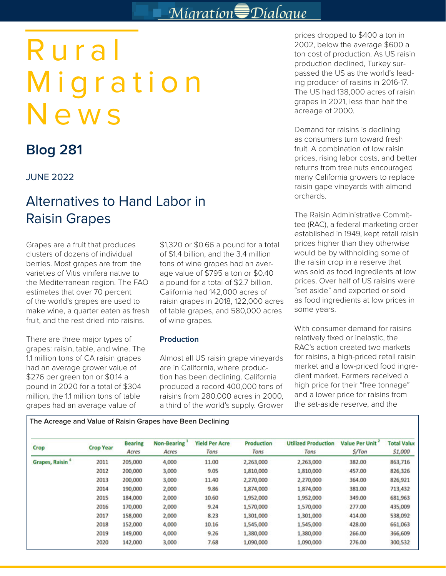## Migration Dialogue

# Rural Migration News

## **Blog 281**

### JUNE 2022

## Alternatives to Hand Labor in Raisin Grapes

Grapes are a fruit that produces clusters of dozens of individual berries. Most grapes are from the varieties of Vitis vinifera native to the Mediterranean region. The FAO estimates that over 70 percent of the world's grapes are used to make wine, a quarter eaten as fresh fruit, and the rest dried into raisins.

There are three major types of grapes: raisin, table, and wine. The 1.1 million tons of CA raisin grapes had an average grower value of \$276 per green ton or \$0.14 a pound in 2020 for a total of \$304 million, the 1.1 million tons of table grapes had an average value of

\$1,320 or \$0.66 a pound for a total of \$1.4 billion, and the 3.4 million tons of wine grapes had an average value of \$795 a ton or \$0.40 a pound for a total of \$2.7 billion. California had 142,000 acres of raisin grapes in 2018, 122,000 acres of table grapes, and 580,000 acres of wine grapes.

#### **Production**

Almost all US raisin grape vineyards are in California, where production has been declining. California produced a record 400,000 tons of raisins from 280,000 acres in 2000, a third of the world's supply. Grower prices dropped to \$400 a ton in 2002, below the average \$600 a ton cost of production. As US raisin production declined, Turkey surpassed the US as the world's leading producer of raisins in 2016-17. The US had 138,000 acres of raisin grapes in 2021, less than half the acreage of 2000.

Demand for raisins is declining as consumers turn toward fresh fruit. A combination of low raisin prices, rising labor costs, and better returns from tree nuts encouraged many California growers to replace raisin gape vineyards with almond orchards.

The Raisin Administrative Committee (RAC), a federal marketing order established in 1949, kept retail raisin prices higher than they otherwise would be by withholding some of the raisin crop in a reserve that was sold as food ingredients at low prices. Over half of US raisins were "set aside" and exported or sold as food ingredients at low prices in some years.

With consumer demand for raisins relatively fixed or inelastic, the RAC's action created two markets for raisins, a high-priced retail raisin market and a low-priced food ingredient market. Farmers received a high price for their "free tonnage" and a lower price for raisins from the set-aside reserve, and the

#### **The Acreage and Value of Raisin Grapes have Been Declining**

| Crop                  | <b>Crop Year</b> | <b>Bearing</b><br>Acres | <b>Non-Bearing</b><br>Acres | <b>Yield Per Acre</b><br>Tons | <b>Production</b><br>Tons | <b>Utilized Production</b><br>Tons | Value Per Unit<br>S/Ton | <b>Total Value</b><br>\$1,000 |
|-----------------------|------------------|-------------------------|-----------------------------|-------------------------------|---------------------------|------------------------------------|-------------------------|-------------------------------|
| <b>Grapes, Raisin</b> | 2011             | 205,000                 | 4,000                       | 11.00                         | 2,263,000                 | 2,263,000                          | 382.00                  | 863,716                       |
|                       | 2012             | 200,000                 | 3,000                       | 9.05                          | 1,810,000                 | 1,810,000                          | 457.00                  | 826,326                       |
|                       | 2013             | 200,000                 | 3,000                       | 11.40                         | 2,270,000                 | 2,270,000                          | 364.00                  | 826,921                       |
|                       | 2014             | 190,000                 | 2,000                       | 9.86                          | 1,874,000                 | 1,874,000                          | 381.00                  | 713,432                       |
|                       | 2015             | 184,000                 | 2,000                       | 10.60                         | 1,952,000                 | 1,952,000                          | 349.00                  | 681,963                       |
|                       | 2016             | 170,000                 | 2,000                       | 9.24                          | 1,570,000                 | 1,570,000                          | 277.00                  | 435,009                       |
|                       | 2017             | 158,000                 | 2,000                       | 8.23                          | 1,301,000                 | 1,301,000                          | 414.00                  | 538,092                       |
|                       | 2018             | 152,000                 | 4,000                       | 10.16                         | 1,545,000                 | 1,545,000                          | 428.00                  | 661,063                       |
|                       | 2019             | 149,000                 | 4,000                       | 9.26                          | 1,380,000                 | 1,380,000                          | 266.00                  | 366,609                       |
|                       | 2020             | 142,000                 | 3,000                       | 7.68                          | 1,090,000                 | 1,090,000                          | 276.00                  | 300,532                       |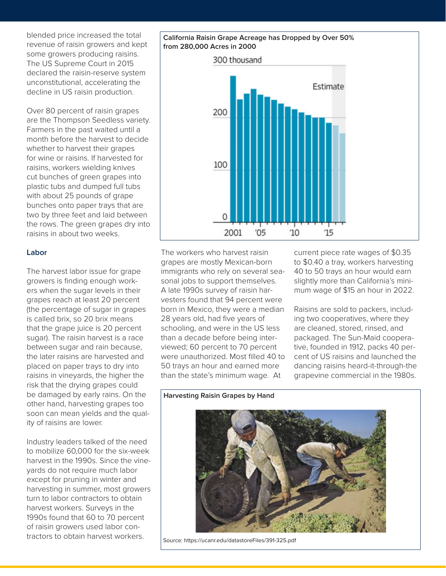blended price increased the total revenue of raisin growers and kept some growers producing raisins. The US Supreme Court in 2015 declared the raisin-reserve system unconstitutional, accelerating the decline in US raisin production.

Over 80 percent of raisin grapes are the Thompson Seedless variety. Farmers in the past waited until a month before the harvest to decide whether to harvest their grapes for wine or raisins. If harvested for raisins, workers wielding knives cut bunches of green grapes into plastic tubs and dumped full tubs with about 25 pounds of grape bunches onto paper trays that are two by three feet and laid between the rows. The green grapes dry into raisins in about two weeks.

#### **Labor**

The harvest labor issue for grape growers is finding enough workers when the sugar levels in their grapes reach at least 20 percent (the percentage of sugar in grapes is called brix, so 20 brix means that the grape juice is 20 percent sugar). The raisin harvest is a race between sugar and rain because, the later raisins are harvested and placed on paper trays to dry into raisins in vineyards, the higher the risk that the drying grapes could be damaged by early rains. On the other hand, harvesting grapes too soon can mean yields and the quality of raisins are lower.

Industry leaders talked of the need to mobilize 60,000 for the six-week harvest in the 1990s. Since the vineyards do not require much labor except for pruning in winter and harvesting in summer, most growers turn to labor contractors to obtain harvest workers. Surveys in the 1990s found that 60 to 70 percent of raisin growers used labor contractors to obtain harvest workers.

#### **California Raisin Grape Acreage has Dropped by Over 50% from 280,000 Acres in 2000**



The workers who harvest raisin grapes are mostly Mexican-born immigrants who rely on several seasonal jobs to support themselves. A late 1990s survey of raisin harvesters found that 94 percent were born in Mexico, they were a median 28 years old, had five years of schooling, and were in the US less than a decade before being interviewed; 60 percent to 70 percent were unauthorized. Most filled 40 to 50 trays an hour and earned more than the state's minimum wage. At

current piece rate wages of \$0.35 to \$0.40 a tray, workers harvesting 40 to 50 trays an hour would earn slightly more than California's minimum wage of \$15 an hour in 2022.

Raisins are sold to packers, including two cooperatives, where they are cleaned, stored, rinsed, and packaged. The Sun-Maid cooperative, founded in 1912, packs 40 percent of US raisins and launched the dancing raisins heard-it-through-the grapevine commercial in the 1980s.

## **Harvesting Raisin Grapes by Hand**



Source: https://ucanr.edu/datastoreFiles/391-325.pdf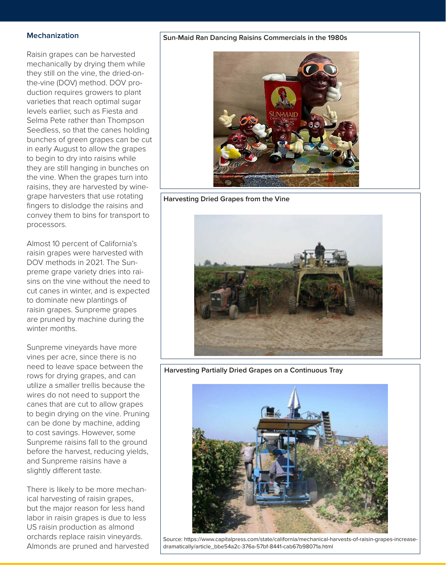#### **Mechanization**

Raisin grapes can be harvested mechanically by drying them while they still on the vine, the dried-onthe-vine (DOV) method. DOV production requires growers to plant varieties that reach optimal sugar levels earlier, such as Fiesta and Selma Pete rather than Thompson Seedless, so that the canes holding bunches of green grapes can be cut in early August to allow the grapes to begin to dry into raisins while they are still hanging in bunches on the vine. When the grapes turn into raisins, they are harvested by winegrape harvesters that use rotating fingers to dislodge the raisins and convey them to bins for transport to processors.

Almost 10 percent of California's raisin grapes were harvested with DOV methods in 2021. The Sunpreme grape variety dries into raisins on the vine without the need to cut canes in winter, and is expected to dominate new plantings of raisin grapes. Sunpreme grapes are pruned by machine during the winter months.

Sunpreme vineyards have more vines per acre, since there is no need to leave space between the rows for drying grapes, and can utilize a smaller trellis because the wires do not need to support the canes that are cut to allow grapes to begin drying on the vine. Pruning can be done by machine, adding to cost savings. However, some Sunpreme raisins fall to the ground before the harvest, reducing yields, and Sunpreme raisins have a slightly different taste.

There is likely to be more mechanical harvesting of raisin grapes, but the major reason for less hand labor in raisin grapes is due to less US raisin production as almond orchards replace raisin vineyards. Almonds are pruned and harvested

#### **Sun-Maid Ran Dancing Raisins Commercials in the 1980s**



**Harvesting Dried Grapes from the Vine**



**Harvesting Partially Dried Grapes on a Continuous Tray**



Source: https://www.capitalpress.com/state/california/mechanical-harvests-of-raisin-grapes-increasedramatically/article\_bbe54a2c-376a-57bf-8441-cab67b98071a.html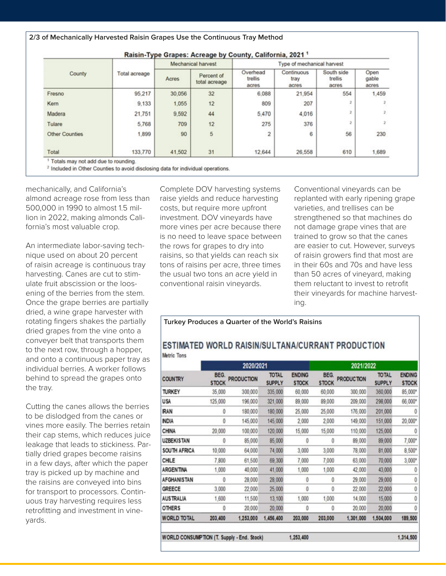|                       |               | Raisin-Type Grapes: Acreage by County, California, 2021 <sup>1</sup> |                             |                              |                             |                                |                        |  |  |  |
|-----------------------|---------------|----------------------------------------------------------------------|-----------------------------|------------------------------|-----------------------------|--------------------------------|------------------------|--|--|--|
|                       | Total acreage | <b>Mechanical harvest</b>                                            |                             | Type of mechanical harvest   |                             |                                |                        |  |  |  |
| County                |               | Acres                                                                | Percent of<br>total acreage | Overhead<br>trellis<br>acres | Continuous<br>tray<br>acres | South side<br>trellis<br>acres | Open<br>gable<br>acres |  |  |  |
| Fresno                | 95,217        | 30,056                                                               | 32                          | 6,088                        | 21,954                      | 554                            | 1,459                  |  |  |  |
| Kern                  | 9,133         | 1.055                                                                | 12                          | 809                          | 207                         |                                |                        |  |  |  |
| Madera                | 21,751        | 9,592                                                                | 44                          | 5,470                        | 4,016                       |                                |                        |  |  |  |
| Tulare                | 5,768         | 709                                                                  | 12                          | 275                          | 376                         |                                |                        |  |  |  |
| <b>Other Counties</b> | 1,899         | 90                                                                   | 5                           |                              | 6                           | 56                             | 230                    |  |  |  |

<sup>2</sup> Included in Other Counties to avoid disclosing data for individual operations.

mechanically, and California's almond acreage rose from less than 500,000 in 1990 to almost 1.5 million in 2022, making almonds California's most valuable crop.

An intermediate labor-saving technique used on about 20 percent of raisin acreage is continuous tray harvesting. Canes are cut to stimulate fruit abscission or the loosening of the berries from the stem. Once the grape berries are partially dried, a wine grape harvester with rotating fingers shakes the partially dried grapes from the vine onto a conveyer belt that transports them to the next row, through a hopper, and onto a continuous paper tray as individual berries. A worker follows behind to spread the grapes onto the tray.

Cutting the canes allows the berries to be dislodged from the canes or vines more easily. The berries retain their cap stems, which reduces juice leakage that leads to stickiness. Partially dried grapes become raisins in a few days, after which the paper tray is picked up by machine and the raisins are conveyed into bins for transport to processors. Continuous tray harvesting requires less retrofitting and investment in vineyards.

Complete DOV harvesting systems raise yields and reduce harvesting costs, but require more upfront investment. DOV vineyards have more vines per acre because there is no need to leave space between the rows for grapes to dry into raisins, so that yields can reach six tons of raisins per acre, three times the usual two tons an acre yield in conventional raisin vineyards.

Conventional vineyards can be replanted with early ripening grape varieties, and trellises can be strengthened so that machines do not damage grape vines that are trained to grow so that the canes are easier to cut. However, surveys of raisin growers find that most are in their 60s and 70s and have less than 50 acres of vineyard, making them reluctant to invest to retrofit their vineyards for machine harvesting.

#### **Turkey Produces a Quarter of the World's Raisins**

#### ESTIMATED WORLD RAISIN/SULTANA/CURRANT PRODUCTION Metric Tons

|                                            |                      | 2020/2021         |                               | 2021/2022                     |                      |                   |                               |                               |
|--------------------------------------------|----------------------|-------------------|-------------------------------|-------------------------------|----------------------|-------------------|-------------------------------|-------------------------------|
| <b>COUNTRY</b>                             | BEG.<br><b>STOCK</b> | <b>PRODUCTION</b> | <b>TOTAL</b><br><b>SUPPLY</b> | <b>ENDING</b><br><b>STOCK</b> | BEG.<br><b>STOCK</b> | <b>PRODUCTION</b> | <b>TOTAL</b><br><b>SUPPLY</b> | <b>ENDING</b><br><b>STOCK</b> |
| <b>TURKEY</b>                              | 35,000               | 300,000           | 335,000                       | 60,000                        | 60,000               | 300,000           | 360,000                       | 85,000*                       |
| <b>USA</b>                                 | 125,000              | 196,000           | 321,000                       | 89,000                        | 89,000               | 209,000           | 298,000                       | 66,000*                       |
| <b>IRAN</b>                                | 0                    | 180,000           | 180,000                       | 25,000                        | 25,000               | 176,000           | 201,000                       | 0                             |
| <b>INDIA</b>                               | 0                    | 145,000           | 145,000                       | 2,000                         | 2,000                | 149,000           | 151,000                       | 20,000*                       |
| <b>CHINA</b>                               | 20,000               | 100,000           | 120,000                       | 15,000                        | 15,000               | 110,000           | 125,000                       | 0                             |
| <b>UZBEKISTAN</b>                          | 0                    | 85,000            | 85,000                        | 0                             | 0                    | 89,000            | 89,000                        | 7,000*                        |
| SOUTH AFRICA                               | 10,000               | 64,000            | 74,000                        | 3,000                         | 3,000                | 78,000            | 81,000                        | $8,500*$                      |
| CHILE                                      | 7,800                | 61,500            | 69,300                        | 7,000                         | 7,000                | 63.000            | 70,000                        | $3,000*$                      |
| ARGENTINA                                  | 1,000                | 40,000            | 41,000                        | 1,000                         | 1,000                | 42,000            | 43,000                        | 0                             |
| AFGHANISTAN                                | Ō                    | 28,000            | 28,000                        | 0                             | 0                    | 29,000            | 29,000                        | 0                             |
| <b>GREECE</b>                              | 3,000                | 22,000            | 25,000                        | 0                             | 0                    | 22,000            | 22,000                        | 0                             |
| <b>AUSTRALIA</b>                           | 1,600                | 11,500            | 13,100                        | 1,000                         | 1,000                | 14,000            | 15,000                        | 0                             |
| <b>OTHERS</b>                              | Ō                    | 20,000            | 20,000                        | Ō                             | 0                    | 20,000            | 20,000                        | 0                             |
| <b>WORLD TOTAL</b>                         | 203,400              | 1,253,000         | 1,456,400                     | 203,000                       | 203,000              | 1,301,000         | 1,504,000                     | 189,500                       |
| WORLD CONSUMPTION (T. Supply - End. Stock) |                      |                   |                               | 1.253,400                     |                      |                   |                               | 1,314,500                     |